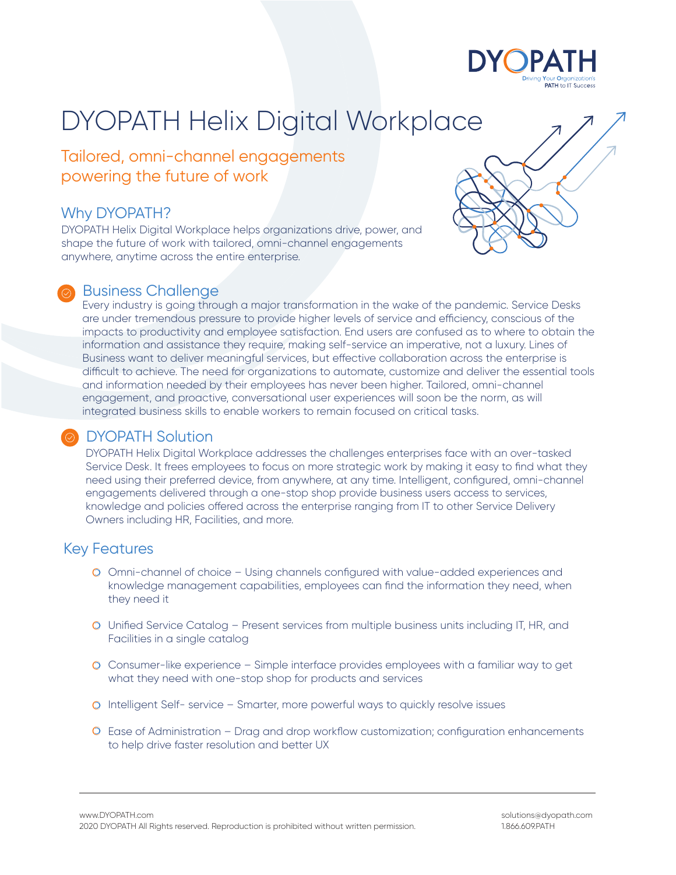

Tailored, omni-channel engagements powering the future of work

### Why DYOPATH?

DYOPATH Helix Digital Workplace helps organizations drive, power, and shape the future of work with tailored, omni-channel engagements anywhere, anytime across the entire enterprise.

#### Business Challenge

Every industry is going through a major transformation in the wake of the pandemic. Service Desks are under tremendous pressure to provide higher levels of service and efficiency, conscious of the impacts to productivity and employee satisfaction. End users are confused as to where to obtain the information and assistance they require, making self-service an imperative, not a luxury. Lines of Business want to deliver meaningful services, but effective collaboration across the enterprise is difficult to achieve. The need for organizations to automate, customize and deliver the essential tools and information needed by their employees has never been higher. Tailored, omni-channel engagement, and proactive, conversational user experiences will soon be the norm, as will integrated business skills to enable workers to remain focused on critical tasks.

### DYOPATH Solution

DYOPATH Helix Digital Workplace addresses the challenges enterprises face with an over-tasked Service Desk. It frees employees to focus on more strategic work by making it easy to find what they need using their preferred device, from anywhere, at any time. Intelligent, configured, omni-channel engagements delivered through a one-stop shop provide business users access to services, knowledge and policies offered across the enterprise ranging from IT to other Service Delivery Owners including HR, Facilities, and more.

## Key Features

- Omni-channel of choice Using channels configured with value-added experiences and knowledge management capabilities, employees can find the information they need, when they need it
- Unified Service Catalog Present services from multiple business units including IT, HR, and Facilities in a single catalog
- Consumer-like experience Simple interface provides employees with a familiar way to get what they need with one-stop shop for products and services
- Intelligent Self- service Smarter, more powerful ways to quickly resolve issues
- Ease of Administration Drag and drop workflow customization; configuration enhancements to help drive faster resolution and better UX